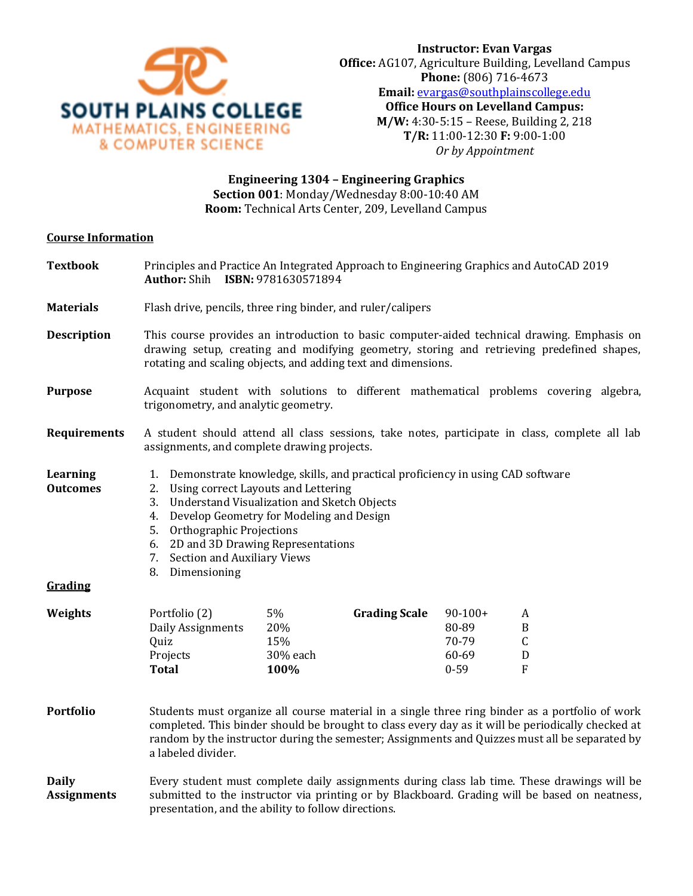

**Engineering 1304 – Engineering Graphics Section 001**: Monday/Wednesday 8:00-10:40 AM **Room:** Technical Arts Center, 209, Levelland Campus

## **Course Information**

| <b>Textbook</b>                               | Principles and Practice An Integrated Approach to Engineering Graphics and AutoCAD 2019<br>Author: Shih ISBN: 9781630571894                                                                                                                                                                                                                                 |                                      |                      |                                                  |                                                          |  |
|-----------------------------------------------|-------------------------------------------------------------------------------------------------------------------------------------------------------------------------------------------------------------------------------------------------------------------------------------------------------------------------------------------------------------|--------------------------------------|----------------------|--------------------------------------------------|----------------------------------------------------------|--|
| <b>Materials</b>                              | Flash drive, pencils, three ring binder, and ruler/calipers                                                                                                                                                                                                                                                                                                 |                                      |                      |                                                  |                                                          |  |
| <b>Description</b>                            | This course provides an introduction to basic computer-aided technical drawing. Emphasis on<br>drawing setup, creating and modifying geometry, storing and retrieving predefined shapes,<br>rotating and scaling objects, and adding text and dimensions.                                                                                                   |                                      |                      |                                                  |                                                          |  |
| <b>Purpose</b>                                | Acquaint student with solutions to different mathematical problems covering algebra,<br>trigonometry, and analytic geometry.                                                                                                                                                                                                                                |                                      |                      |                                                  |                                                          |  |
| <b>Requirements</b>                           | A student should attend all class sessions, take notes, participate in class, complete all lab<br>assignments, and complete drawing projects.                                                                                                                                                                                                               |                                      |                      |                                                  |                                                          |  |
| <b>Learning</b><br><b>Outcomes</b><br>Grading | 1. Demonstrate knowledge, skills, and practical proficiency in using CAD software<br>2. Using correct Layouts and Lettering<br>3. Understand Visualization and Sketch Objects<br>4. Develop Geometry for Modeling and Design<br>5. Orthographic Projections<br>6. 2D and 3D Drawing Representations<br>7. Section and Auxiliary Views<br>Dimensioning<br>8. |                                      |                      |                                                  |                                                          |  |
| Weights                                       | Portfolio (2)<br>Daily Assignments<br>Quiz<br>Projects<br><b>Total</b>                                                                                                                                                                                                                                                                                      | 5%<br>20%<br>15%<br>30% each<br>100% | <b>Grading Scale</b> | $90-100+$<br>80-89<br>70-79<br>60-69<br>$0 - 59$ | A<br>B<br>$\mathsf C$<br>$\mathbf D$<br>$\boldsymbol{F}$ |  |
| <b>Portfolio</b>                              | Students must organize all course material in a single three ring binder as a portfolio of work<br>completed. This binder should be brought to class every day as it will be periodically checked at<br>random by the instructor during the semester; Assignments and Quizzes must all be separated by<br>a labeled divider.                                |                                      |                      |                                                  |                                                          |  |
| <b>Daily</b><br><b>Assignments</b>            | Every student must complete daily assignments during class lab time. These drawings will be<br>submitted to the instructor via printing or by Blackboard. Grading will be based on neatness,<br>presentation, and the ability to follow directions.                                                                                                         |                                      |                      |                                                  |                                                          |  |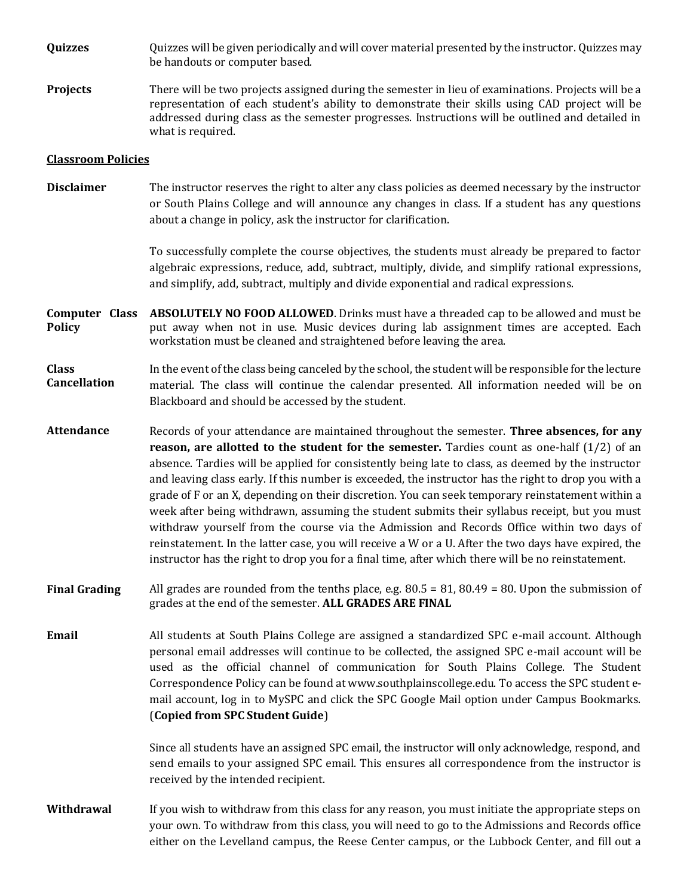**Quizzes** Quizzes will be given periodically and will cover material presented by the instructor. Quizzes may be handouts or computer based.

**Projects** There will be two projects assigned during the semester in lieu of examinations. Projects will be a representation of each student's ability to demonstrate their skills using CAD project will be addressed during class as the semester progresses. Instructions will be outlined and detailed in what is required.

## **Classroom Policies**

**Disclaimer** The instructor reserves the right to alter any class policies as deemed necessary by the instructor or South Plains College and will announce any changes in class. If a student has any questions about a change in policy, ask the instructor for clarification.

> To successfully complete the course objectives, the students must already be prepared to factor algebraic expressions, reduce, add, subtract, multiply, divide, and simplify rational expressions, and simplify, add, subtract, multiply and divide exponential and radical expressions.

**Computer Class Policy ABSOLUTELY NO FOOD ALLOWED**. Drinks must have a threaded cap to be allowed and must be put away when not in use. Music devices during lab assignment times are accepted. Each workstation must be cleaned and straightened before leaving the area.

### **Class Cancellation**  In the event of the class being canceled by the school, the student will be responsible for the lecture material. The class will continue the calendar presented. All information needed will be on Blackboard and should be accessed by the student.

- **Attendance** Records of your attendance are maintained throughout the semester. **Three absences, for any reason, are allotted to the student for the semester.** Tardies count as one-half (1/2) of an absence. Tardies will be applied for consistently being late to class, as deemed by the instructor and leaving class early. If this number is exceeded, the instructor has the right to drop you with a grade of F or an X, depending on their discretion. You can seek temporary reinstatement within a week after being withdrawn, assuming the student submits their syllabus receipt, but you must withdraw yourself from the course via the Admission and Records Office within two days of reinstatement. In the latter case, you will receive a W or a U. After the two days have expired, the instructor has the right to drop you for a final time, after which there will be no reinstatement.
- **Final Grading** All grades are rounded from the tenths place, e.g. 80.5 = 81, 80.49 = 80. Upon the submission of grades at the end of the semester. **ALL GRADES ARE FINAL**

**Email** All students at South Plains College are assigned a standardized SPC e-mail account. Although personal email addresses will continue to be collected, the assigned SPC e-mail account will be used as the official channel of communication for South Plains College. The Student Correspondence Policy can be found at www.southplainscollege.edu. To access the SPC student email account, log in to MySPC and click the SPC Google Mail option under Campus Bookmarks. (**Copied from SPC Student Guide**)

> Since all students have an assigned SPC email, the instructor will only acknowledge, respond, and send emails to your assigned SPC email. This ensures all correspondence from the instructor is received by the intended recipient.

**Withdrawal** If you wish to withdraw from this class for any reason, you must initiate the appropriate steps on your own. To withdraw from this class, you will need to go to the Admissions and Records office either on the Levelland campus, the Reese Center campus, or the Lubbock Center, and fill out a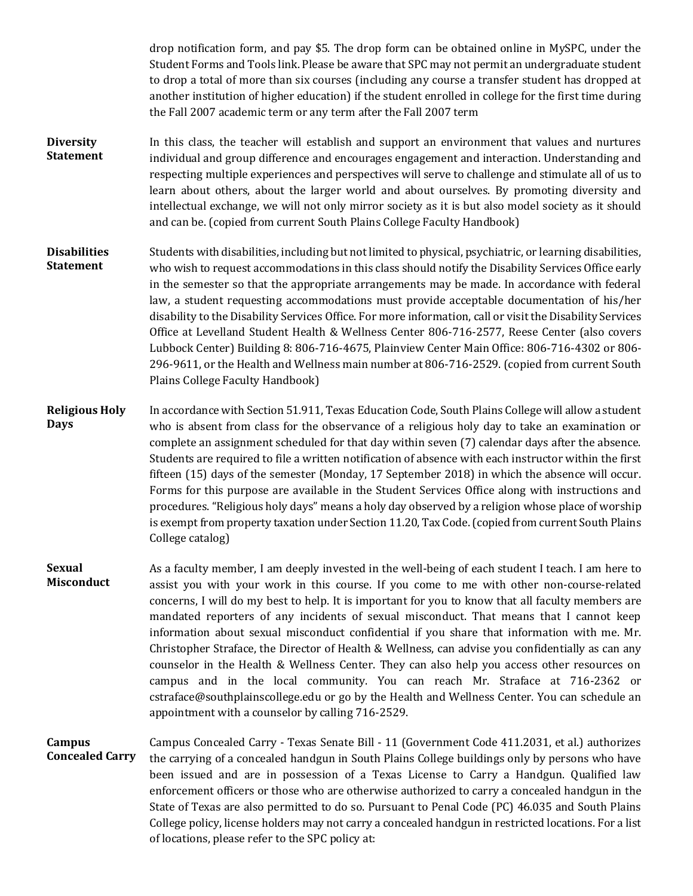drop notification form, and pay \$5. The drop form can be obtained online in MySPC, under the Student Forms and Tools link. Please be aware that SPC may not permit an undergraduate student to drop a total of more than six courses (including any course a transfer student has dropped at another institution of higher education) if the student enrolled in college for the first time during the Fall 2007 academic term or any term after the Fall 2007 term

- **Diversity Statement** In this class, the teacher will establish and support an environment that values and nurtures individual and group difference and encourages engagement and interaction. Understanding and respecting multiple experiences and perspectives will serve to challenge and stimulate all of us to learn about others, about the larger world and about ourselves. By promoting diversity and intellectual exchange, we will not only mirror society as it is but also model society as it should and can be. (copied from current South Plains College Faculty Handbook)
- **Disabilities Statement** Students with disabilities, including but not limited to physical, psychiatric, or learning disabilities, who wish to request accommodations in this class should notify the Disability Services Office early in the semester so that the appropriate arrangements may be made. In accordance with federal law, a student requesting accommodations must provide acceptable documentation of his/her disability to the Disability Services Office. For more information, call or visit the Disability Services Office at Levelland Student Health & Wellness Center 806-716-2577, Reese Center (also covers Lubbock Center) Building 8: 806-716-4675, Plainview Center Main Office: 806-716-4302 or 806- 296-9611, or the Health and Wellness main number at 806-716-2529. (copied from current South Plains College Faculty Handbook)
- **Religious Holy Days** In accordance with Section 51.911, Texas Education Code, South Plains College will allow a student who is absent from class for the observance of a religious holy day to take an examination or complete an assignment scheduled for that day within seven (7) calendar days after the absence. Students are required to file a written notification of absence with each instructor within the first fifteen (15) days of the semester (Monday, 17 September 2018) in which the absence will occur. Forms for this purpose are available in the Student Services Office along with instructions and procedures. "Religious holy days" means a holy day observed by a religion whose place of worship is exempt from property taxation under Section 11.20, Tax Code. (copied from current South Plains College catalog)
- **Sexual Misconduct** As a faculty member, I am deeply invested in the well-being of each student I teach. I am here to assist you with your work in this course. If you come to me with other non-course-related concerns, I will do my best to help. It is important for you to know that all faculty members are mandated reporters of any incidents of sexual misconduct. That means that I cannot keep information about sexual misconduct confidential if you share that information with me. Mr. Christopher Straface, the Director of Health & Wellness, can advise you confidentially as can any counselor in the Health & Wellness Center. They can also help you access other resources on campus and in the local community. You can reach Mr. Straface at 716-2362 or cstraface@southplainscollege.edu or go by the Health and Wellness Center. You can schedule an appointment with a counselor by calling 716-2529.
- **Campus Concealed Carry** Campus Concealed Carry - Texas Senate Bill - 11 (Government Code 411.2031, et al.) authorizes the carrying of a concealed handgun in South Plains College buildings only by persons who have been issued and are in possession of a Texas License to Carry a Handgun. Qualified law enforcement officers or those who are otherwise authorized to carry a concealed handgun in the State of Texas are also permitted to do so. Pursuant to Penal Code (PC) 46.035 and South Plains College policy, license holders may not carry a concealed handgun in restricted locations. For a list of locations, please refer to the SPC policy at: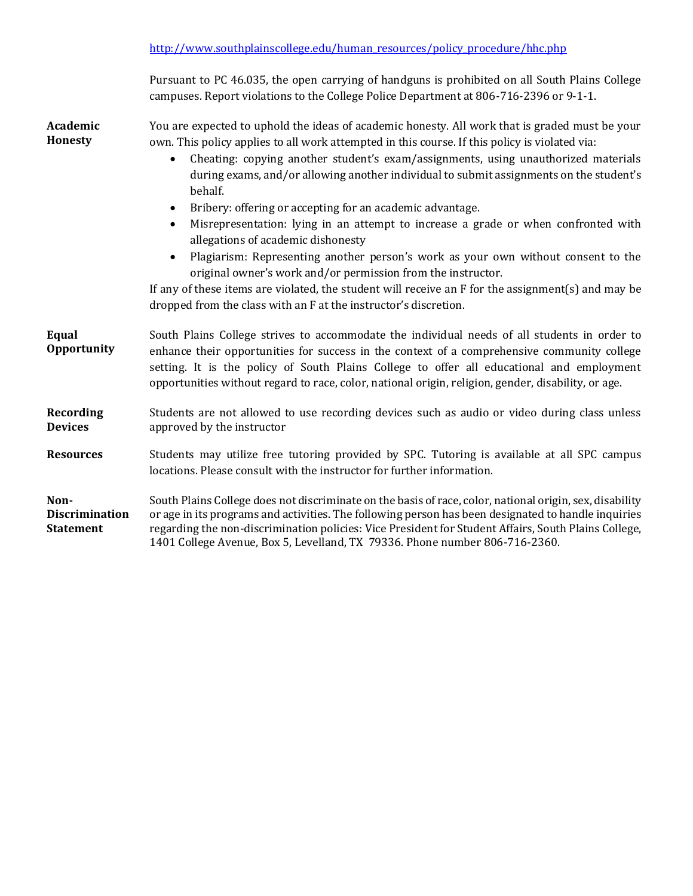| Pursuant to PC 46.035, the open carrying of handguns is prohibited on all South Plains College |
|------------------------------------------------------------------------------------------------|
| campuses. Report violations to the College Police Department at 806-716-2396 or 9-1-1.         |

**Academic Honesty** You are expected to uphold the ideas of academic honesty. All work that is graded must be your own. This policy applies to all work attempted in this course. If this policy is violated via:

- Cheating: copying another student's exam/assignments, using unauthorized materials during exams, and/or allowing another individual to submit assignments on the student's behalf.
- Bribery: offering or accepting for an academic advantage.
- Misrepresentation: lying in an attempt to increase a grade or when confronted with allegations of academic dishonesty
- Plagiarism: Representing another person's work as your own without consent to the original owner's work and/or permission from the instructor.

If any of these items are violated, the student will receive an F for the assignment(s) and may be dropped from the class with an F at the instructor's discretion.

**Equal Opportunity** South Plains College strives to accommodate the individual needs of all students in order to enhance their opportunities for success in the context of a comprehensive community college setting. It is the policy of South Plains College to offer all educational and employment opportunities without regard to race, color, national origin, religion, gender, disability, or age.

#### **Recording Devices** Students are not allowed to use recording devices such as audio or video during class unless approved by the instructor

**Resources** Students may utilize free tutoring provided by SPC. Tutoring is available at all SPC campus locations. Please consult with the instructor for further information.

**Non-Discrimination Statement** South Plains College does not discriminate on the basis of race, color, national origin, sex, disability or age in its programs and activities. The following person has been designated to handle inquiries regarding the non-discrimination policies: Vice President for Student Affairs, South Plains College, 1401 College Avenue, Box 5, Levelland, TX 79336. Phone number 806-716-2360.